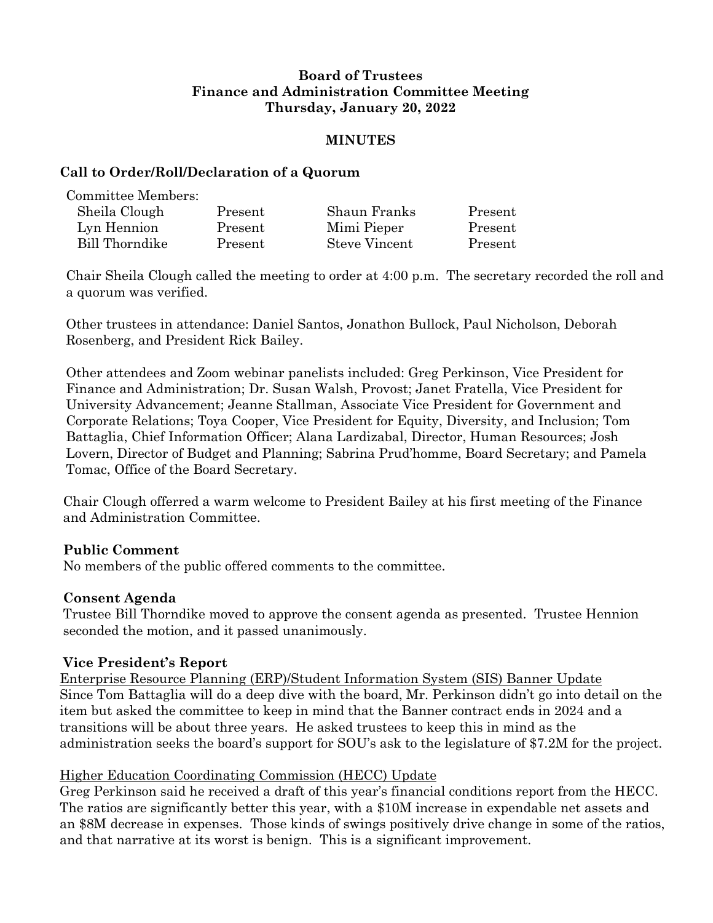### **Board of Trustees Finance and Administration Committee Meeting Thursday, January 20, 2022**

### **MINUTES**

### **Call to Order/Roll/Declaration of a Quorum**

Committee Members:

| Sheila Clough  | Present | Shaun Franks  | Present |
|----------------|---------|---------------|---------|
| Lyn Hennion    | Present | Mimi Pieper   | Present |
| Bill Thorndike | Present | Steve Vincent | Present |

Chair Sheila Clough called the meeting to order at 4:00 p.m. The secretary recorded the roll and a quorum was verified.

Other trustees in attendance: Daniel Santos, Jonathon Bullock, Paul Nicholson, Deborah Rosenberg, and President Rick Bailey.

Other attendees and Zoom webinar panelists included: Greg Perkinson, Vice President for Finance and Administration; Dr. Susan Walsh, Provost; Janet Fratella, Vice President for University Advancement; Jeanne Stallman, Associate Vice President for Government and Corporate Relations; Toya Cooper, Vice President for Equity, Diversity, and Inclusion; Tom Battaglia, Chief Information Officer; Alana Lardizabal, Director, Human Resources; Josh Lovern, Director of Budget and Planning; Sabrina Prud'homme, Board Secretary; and Pamela Tomac, Office of the Board Secretary.

Chair Clough offerred a warm welcome to President Bailey at his first meeting of the Finance and Administration Committee.

# **Public Comment**

No members of the public offered comments to the committee.

#### **Consent Agenda**

Trustee Bill Thorndike moved to approve the consent agenda as presented. Trustee Hennion seconded the motion, and it passed unanimously.

# **Vice President's Report**

Enterprise Resource Planning (ERP)/Student Information System (SIS) Banner Update Since Tom Battaglia will do a deep dive with the board, Mr. Perkinson didn't go into detail on the item but asked the committee to keep in mind that the Banner contract ends in 2024 and a transitions will be about three years. He asked trustees to keep this in mind as the administration seeks the board's support for SOU's ask to the legislature of \$7.2M for the project.

# Higher Education Coordinating Commission (HECC) Update

Greg Perkinson said he received a draft of this year's financial conditions report from the HECC. The ratios are significantly better this year, with a \$10M increase in expendable net assets and an \$8M decrease in expenses. Those kinds of swings positively drive change in some of the ratios, and that narrative at its worst is benign. This is a significant improvement.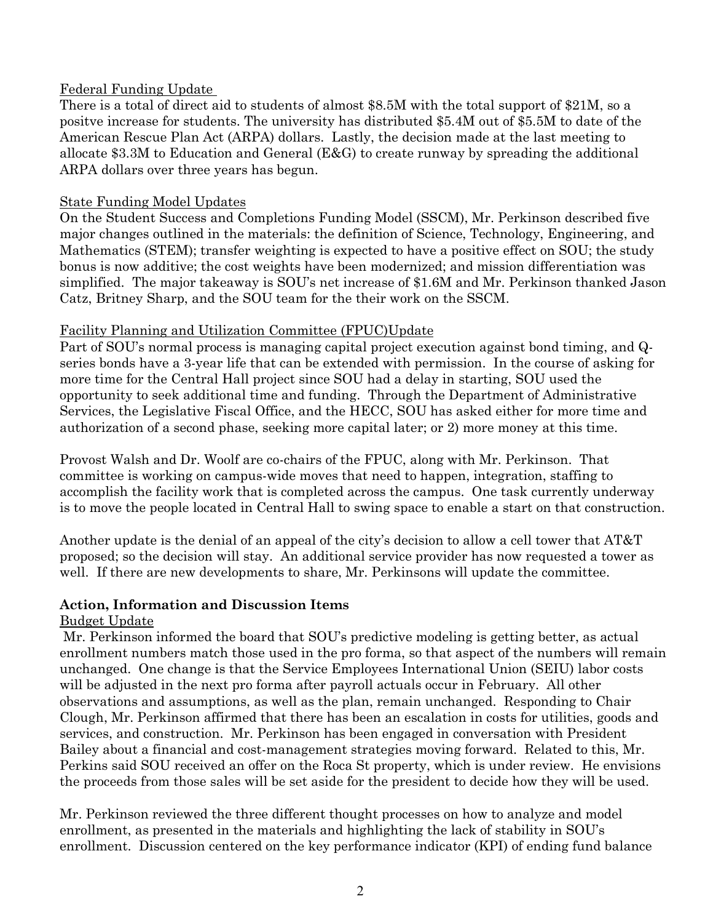### Federal Funding Update

There is a total of direct aid to students of almost \$8.5M with the total support of \$21M, so a positve increase for students. The university has distributed \$5.4M out of \$5.5M to date of the American Rescue Plan Act (ARPA) dollars. Lastly, the decision made at the last meeting to allocate \$3.3M to Education and General (E&G) to create runway by spreading the additional ARPA dollars over three years has begun.

### State Funding Model Updates

On the Student Success and Completions Funding Model (SSCM), Mr. Perkinson described five major changes outlined in the materials: the definition of Science, Technology, Engineering, and Mathematics (STEM); transfer weighting is expected to have a positive effect on SOU; the study bonus is now additive; the cost weights have been modernized; and mission differentiation was simplified. The major takeaway is SOU's net increase of \$1.6M and Mr. Perkinson thanked Jason Catz, Britney Sharp, and the SOU team for the their work on the SSCM.

# Facility Planning and Utilization Committee (FPUC)Update

Part of SOU's normal process is managing capital project execution against bond timing, and Qseries bonds have a 3-year life that can be extended with permission. In the course of asking for more time for the Central Hall project since SOU had a delay in starting, SOU used the opportunity to seek additional time and funding. Through the Department of Administrative Services, the Legislative Fiscal Office, and the HECC, SOU has asked either for more time and authorization of a second phase, seeking more capital later; or 2) more money at this time.

Provost Walsh and Dr. Woolf are co-chairs of the FPUC, along with Mr. Perkinson. That committee is working on campus-wide moves that need to happen, integration, staffing to accomplish the facility work that is completed across the campus. One task currently underway is to move the people located in Central Hall to swing space to enable a start on that construction.

Another update is the denial of an appeal of the city's decision to allow a cell tower that AT&T proposed; so the decision will stay. An additional service provider has now requested a tower as well. If there are new developments to share, Mr. Perkinsons will update the committee.

#### **Action, Information and Discussion Items**

# Budget Update

Mr. Perkinson informed the board that SOU's predictive modeling is getting better, as actual enrollment numbers match those used in the pro forma, so that aspect of the numbers will remain unchanged. One change is that the Service Employees International Union (SEIU) labor costs will be adjusted in the next pro forma after payroll actuals occur in February. All other observations and assumptions, as well as the plan, remain unchanged. Responding to Chair Clough, Mr. Perkinson affirmed that there has been an escalation in costs for utilities, goods and services, and construction. Mr. Perkinson has been engaged in conversation with President Bailey about a financial and cost-management strategies moving forward. Related to this, Mr. Perkins said SOU received an offer on the Roca St property, which is under review. He envisions the proceeds from those sales will be set aside for the president to decide how they will be used.

Mr. Perkinson reviewed the three different thought processes on how to analyze and model enrollment, as presented in the materials and highlighting the lack of stability in SOU's enrollment. Discussion centered on the key performance indicator (KPI) of ending fund balance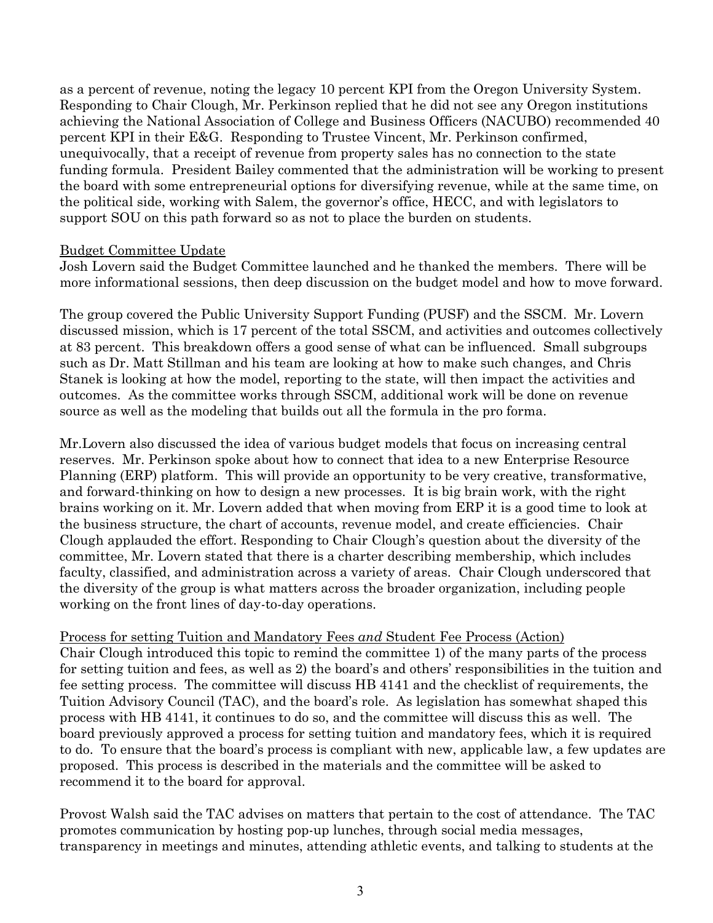as a percent of revenue, noting the legacy 10 percent KPI from the Oregon University System. Responding to Chair Clough, Mr. Perkinson replied that he did not see any Oregon institutions achieving the National Association of College and Business Officers (NACUBO) recommended 40 percent KPI in their E&G. Responding to Trustee Vincent, Mr. Perkinson confirmed, unequivocally, that a receipt of revenue from property sales has no connection to the state funding formula. President Bailey commented that the administration will be working to present the board with some entrepreneurial options for diversifying revenue, while at the same time, on the political side, working with Salem, the governor's office, HECC, and with legislators to support SOU on this path forward so as not to place the burden on students.

#### Budget Committee Update

Josh Lovern said the Budget Committee launched and he thanked the members. There will be more informational sessions, then deep discussion on the budget model and how to move forward.

The group covered the Public University Support Funding (PUSF) and the SSCM. Mr. Lovern discussed mission, which is 17 percent of the total SSCM, and activities and outcomes collectively at 83 percent. This breakdown offers a good sense of what can be influenced. Small subgroups such as Dr. Matt Stillman and his team are looking at how to make such changes, and Chris Stanek is looking at how the model, reporting to the state, will then impact the activities and outcomes. As the committee works through SSCM, additional work will be done on revenue source as well as the modeling that builds out all the formula in the pro forma.

Mr.Lovern also discussed the idea of various budget models that focus on increasing central reserves. Mr. Perkinson spoke about how to connect that idea to a new Enterprise Resource Planning (ERP) platform. This will provide an opportunity to be very creative, transformative, and forward-thinking on how to design a new processes. It is big brain work, with the right brains working on it. Mr. Lovern added that when moving from ERP it is a good time to look at the business structure, the chart of accounts, revenue model, and create efficiencies. Chair Clough applauded the effort. Responding to Chair Clough's question about the diversity of the committee, Mr. Lovern stated that there is a charter describing membership, which includes faculty, classified, and administration across a variety of areas. Chair Clough underscored that the diversity of the group is what matters across the broader organization, including people working on the front lines of day-to-day operations.

#### Process for setting Tuition and Mandatory Fees *and* Student Fee Process (Action)

Chair Clough introduced this topic to remind the committee 1) of the many parts of the process for setting tuition and fees, as well as 2) the board's and others' responsibilities in the tuition and fee setting process. The committee will discuss HB 4141 and the checklist of requirements, the Tuition Advisory Council (TAC), and the board's role. As legislation has somewhat shaped this process with HB 4141, it continues to do so, and the committee will discuss this as well. The board previously approved a process for setting tuition and mandatory fees, which it is required to do. To ensure that the board's process is compliant with new, applicable law, a few updates are proposed. This process is described in the materials and the committee will be asked to recommend it to the board for approval.

Provost Walsh said the TAC advises on matters that pertain to the cost of attendance. The TAC promotes communication by hosting pop-up lunches, through social media messages, transparency in meetings and minutes, attending athletic events, and talking to students at the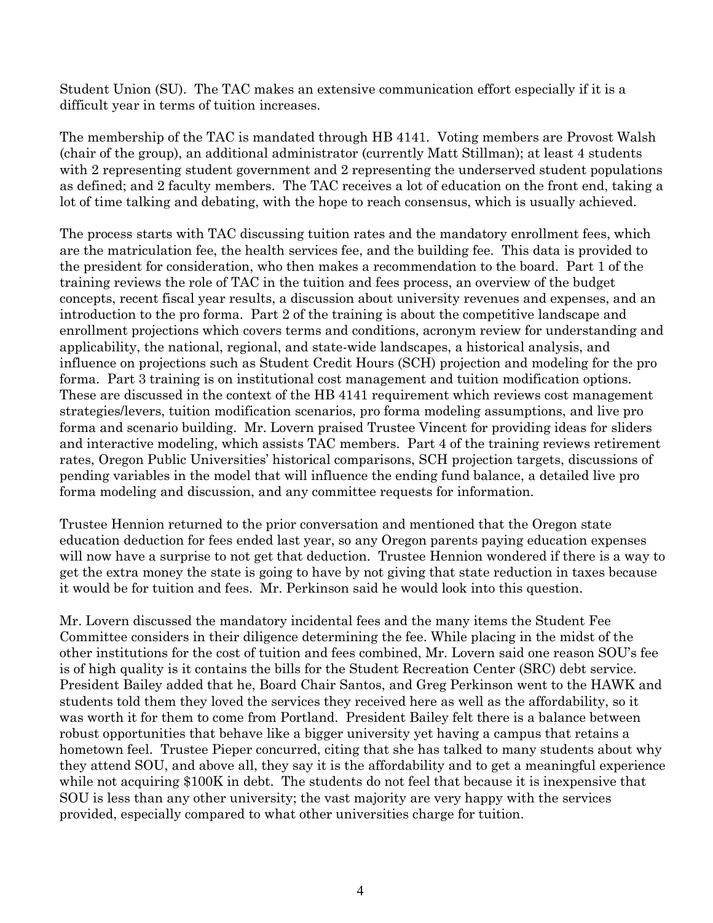Student Union (SU). The TAC makes an extensive communication effort especially if it is a difficult year in terms of tuition increases.

The membership of the TAC is mandated through HB 4141. Voting members are Provost Walsh (chair of the group), an additional administrator (currently Matt Stillman); at least 4 students with 2 representing student government and 2 representing the underserved student populations as defined; and 2 faculty members. The TAC receives a lot of education on the front end, taking a lot of time talking and debating, with the hope to reach consensus, which is usually achieved.

The process starts with TAC discussing tuition rates and the mandatory enrollment fees, which are the matriculation fee, the health services fee, and the building fee. This data is provided to the president for consideration, who then makes a recommendation to the board. Part 1 of the training reviews the role of TAC in the tuition and fees process, an overview of the budget concepts, recent fiscal year results, a discussion about university revenues and expenses, and an introduction to the pro forma. Part 2 of the training is about the competitive landscape and enrollment projections which covers terms and conditions, acronym review for understanding and applicability, the national, regional, and state-wide landscapes, a historical analysis, and influence on projections such as Student Credit Hours (SCH) projection and modeling for the pro forma. Part 3 training is on institutional cost management and tuition modification options. These are discussed in the context of the HB 4141 requirement which reviews cost management strategies/levers, tuition modification scenarios, pro forma modeling assumptions, and live pro forma and scenario building. Mr. Lovern praised Trustee Vincent for providing ideas for sliders and interactive modeling, which assists TAC members. Part 4 of the training reviews retirement rates, Oregon Public Universities' historical comparisons, SCH projection targets, discussions of pending variables in the model that will influence the ending fund balance, a detailed live pro forma modeling and discussion, and any committee requests for information.

Trustee Hennion returned to the prior conversation and mentioned that the Oregon state education deduction for fees ended last year, so any Oregon parents paying education expenses will now have a surprise to not get that deduction. Trustee Hennion wondered if there is a way to get the extra money the state is going to have by not giving that state reduction in taxes because it would be for tuition and fees. Mr. Perkinson said he would look into this question.

Mr. Lovern discussed the mandatory incidental fees and the many items the Student Fee Committee considers in their diligence determining the fee. While placing in the midst of the other institutions for the cost of tuition and fees combined, Mr. Lovern said one reason SOU's fee is of high quality is it contains the bills for the Student Recreation Center (SRC) debt service. President Bailey added that he, Board Chair Santos, and Greg Perkinson went to the HAWK and students told them they loved the services they received here as well as the affordability, so it was worth it for them to come from Portland. President Bailey felt there is a balance between robust opportunities that behave like a bigger university yet having a campus that retains a hometown feel. Trustee Pieper concurred, citing that she has talked to many students about why they attend SOU, and above all, they say it is the affordability and to get a meaningful experience while not acquiring \$100K in debt. The students do not feel that because it is inexpensive that SOU is less than any other university; the vast majority are very happy with the services provided, especially compared to what other universities charge for tuition.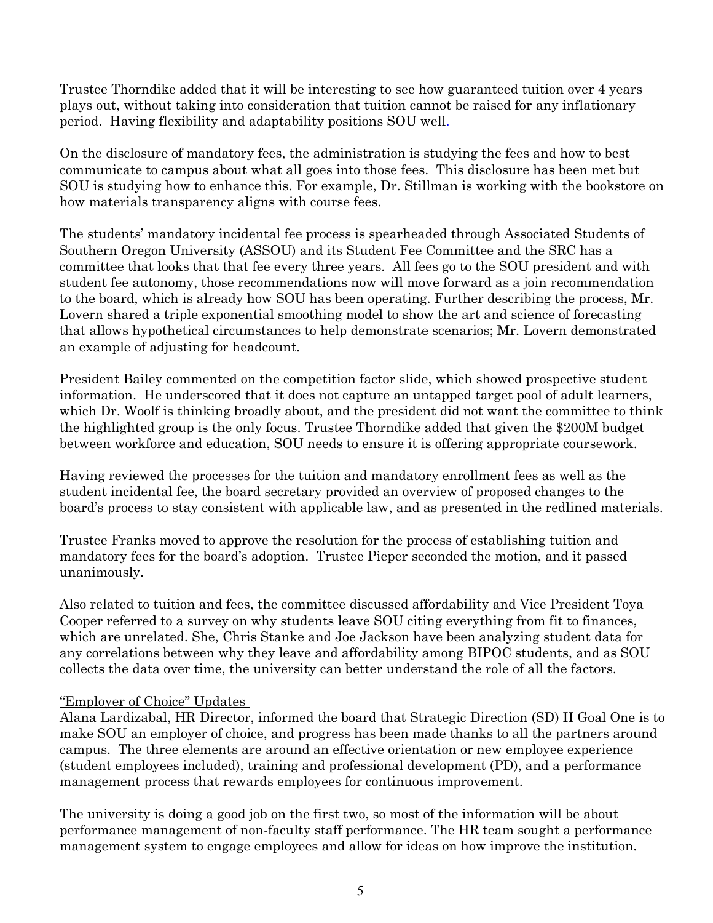Trustee Thorndike added that it will be interesting to see how guaranteed tuition over 4 years plays out, without taking into consideration that tuition cannot be raised for any inflationary period. Having flexibility and adaptability positions SOU well.

On the disclosure of mandatory fees, the administration is studying the fees and how to best communicate to campus about what all goes into those fees. This disclosure has been met but SOU is studying how to enhance this. For example, Dr. Stillman is working with the bookstore on how materials transparency aligns with course fees.

The students' mandatory incidental fee process is spearheaded through Associated Students of Southern Oregon University (ASSOU) and its Student Fee Committee and the SRC has a committee that looks that that fee every three years. All fees go to the SOU president and with student fee autonomy, those recommendations now will move forward as a join recommendation to the board, which is already how SOU has been operating. Further describing the process, Mr. Lovern shared a triple exponential smoothing model to show the art and science of forecasting that allows hypothetical circumstances to help demonstrate scenarios; Mr. Lovern demonstrated an example of adjusting for headcount.

President Bailey commented on the competition factor slide, which showed prospective student information. He underscored that it does not capture an untapped target pool of adult learners, which Dr. Woolf is thinking broadly about, and the president did not want the committee to think the highlighted group is the only focus. Trustee Thorndike added that given the \$200M budget between workforce and education, SOU needs to ensure it is offering appropriate coursework.

Having reviewed the processes for the tuition and mandatory enrollment fees as well as the student incidental fee, the board secretary provided an overview of proposed changes to the board's process to stay consistent with applicable law, and as presented in the redlined materials.

Trustee Franks moved to approve the resolution for the process of establishing tuition and mandatory fees for the board's adoption. Trustee Pieper seconded the motion, and it passed unanimously.

Also related to tuition and fees, the committee discussed affordability and Vice President Toya Cooper referred to a survey on why students leave SOU citing everything from fit to finances, which are unrelated. She, Chris Stanke and Joe Jackson have been analyzing student data for any correlations between why they leave and affordability among BIPOC students, and as SOU collects the data over time, the university can better understand the role of all the factors.

# "Employer of Choice" Updates

Alana Lardizabal, HR Director, informed the board that Strategic Direction (SD) II Goal One is to make SOU an employer of choice, and progress has been made thanks to all the partners around campus. The three elements are around an effective orientation or new employee experience (student employees included), training and professional development (PD), and a performance management process that rewards employees for continuous improvement.

The university is doing a good job on the first two, so most of the information will be about performance management of non-faculty staff performance. The HR team sought a performance management system to engage employees and allow for ideas on how improve the institution.